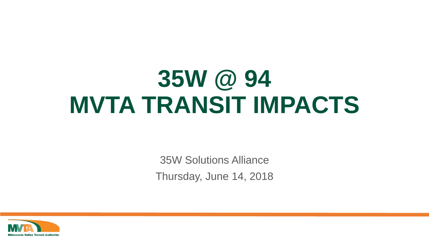#### **35W @ 94 MVTA TRANSIT IMPACTS**

35W Solutions Alliance Thursday, June 14, 2018

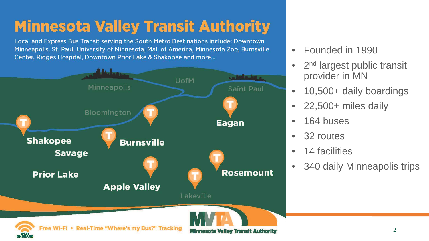#### **Minnesota Valley Transit Authority**

Local and Express Bus Transit serving the South Metro Destinations include: Downtown Minneapolis, St. Paul, University of Minnesota, Mall of America, Minnesota Zoo, Burnsville Center, Ridges Hospital, Downtown Prior Lake & Shakopee and more...



- Founded in 1990
- 2<sup>nd</sup> largest public transit provider in MN
- 10,500+ daily boardings
- 22,500+ miles daily
- 164 buses
- 32 routes
- 14 facilities
- 340 daily Minneapolis trips



Free Wi-Fi • Real-Time "Where's my Bus?" Tracking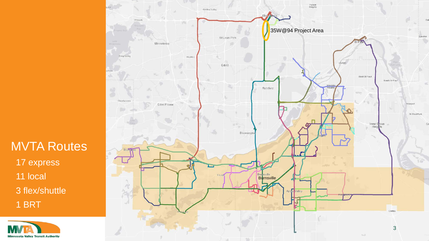#### MVTA Routes

17 express 11 local 3 flex/shuttle 1 BRT



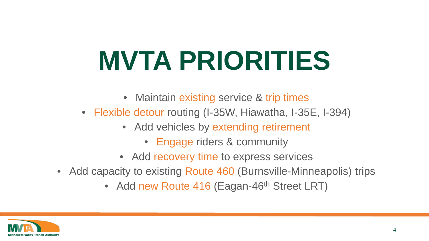# **MVTA PRIORITIES**

- Maintain existing service & trip times
- Flexible detour routing (I-35W, Hiawatha, I-35E, I-394)
	- Add vehicles by extending retirement
		- Engage riders & community
	- Add recovery time to express services
- Add capacity to existing Route 460 (Burnsville-Minneapolis) trips
	- Add new Route 416 (Eagan-46<sup>th</sup> Street LRT)

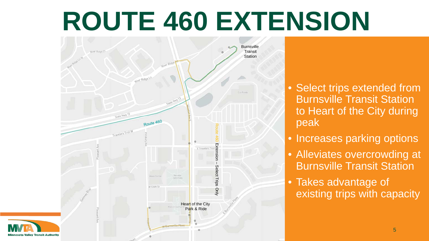#### **ROUTE 460 EXTENSION**



- Select trips extended from Burnsville Transit Station to Heart of the City during peak
- Increases parking options
- Alleviates overcrowding at Burnsville Transit Station
- Takes advantage of existing trips with capacity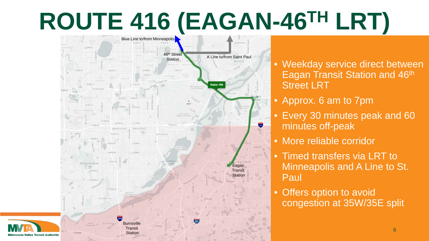#### **ROUTE 416 (EAGAN-46TH LRT)**



- Weekday service direct between Eagan Transit Station and 46<sup>th</sup> Street LRT
- Approx. 6 am to 7pm
- Every 30 minutes peak and 60 minutes off-peak
- More reliable corridor
- Timed transfers via LRT to Minneapolis and A Line to St. Paul
- Offers option to avoid congestion at 35W/35E split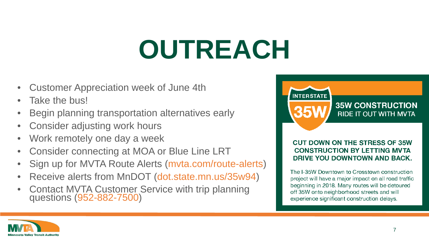## **OUTREACH**

- Customer Appreciation week of June 4th
- Take the bus!
- Begin planning transportation alternatives early
- Consider adjusting work hours
- Work remotely one day a week
- Consider connecting at MOA or Blue Line LRT
- Sign up for MVTA Route Alerts (mvta.com/route-alerts)
- Receive alerts from MnDOT (dot.state.mn.us/35w94)
- Contact MVTA Customer Service with trip planning questions (952-882-7500)



#### **CUT DOWN ON THE STRESS OF 35W CONSTRUCTION BY LETTING MVTA** DRIVE YOU DOWNTOWN AND BACK.

The I-35W Downtown to Crosstown construction project will have a major impact on all road traffic beginning in 2018. Many routes will be detoured off 35W onto neighborhood streets and will experience significant construction delays.

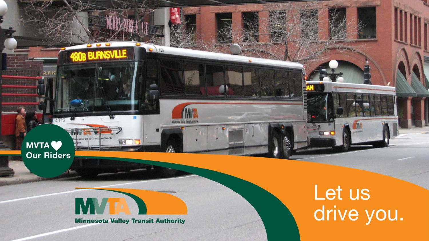

If my Transa Authority

Minercota Valley Transit Authors

AVR

**MVTA** 

**Our Riders** 

Let us<br>drive you.